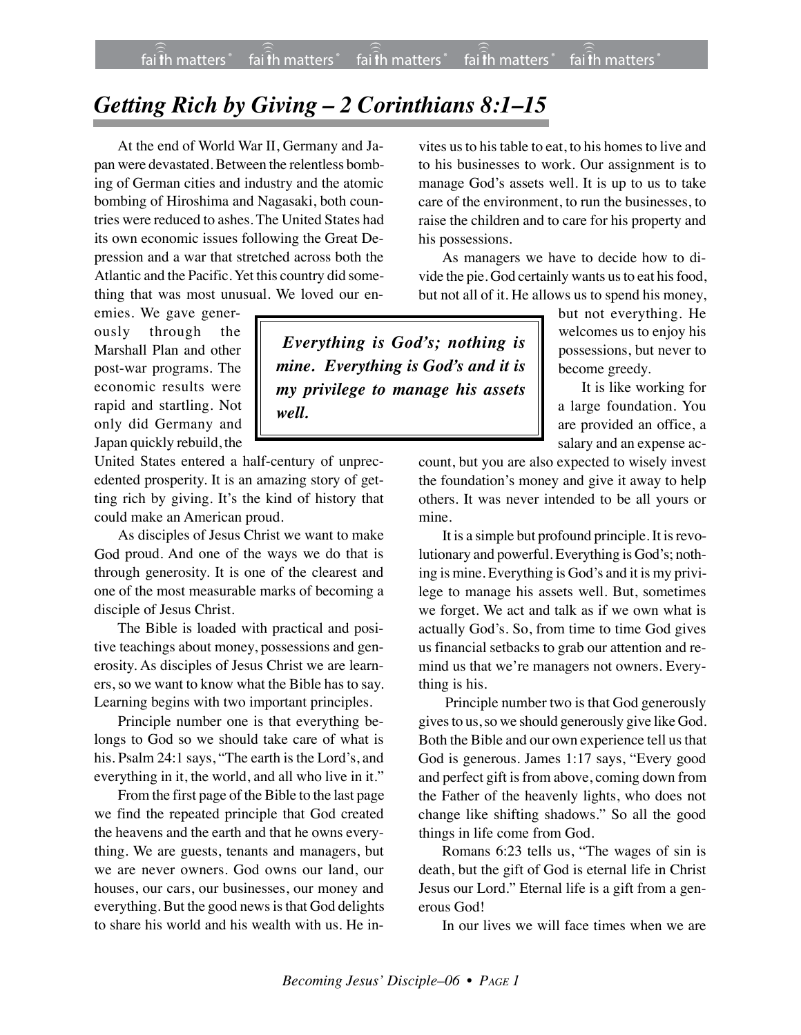## *Getting Rich by Giving – 2 Corinthians 8:1–15*

At the end of World War II, Germany and Japan were devastated. Between the relentless bombing of German cities and industry and the atomic bombing of Hiroshima and Nagasaki, both countries were reduced to ashes. The United States had its own economic issues following the Great Depression and a war that stretched across both the Atlantic and the Pacific. Yet this country did something that was most unusual. We loved our en-

emies. We gave generously through the Marshall Plan and other post-war programs. The economic results were rapid and startling. Not only did Germany and Japan quickly rebuild, the

United States entered a half-century of unprecedented prosperity. It is an amazing story of getting rich by giving. It's the kind of history that could make an American proud.

As disciples of Jesus Christ we want to make God proud. And one of the ways we do that is through generosity. It is one of the clearest and one of the most measurable marks of becoming a disciple of Jesus Christ.

The Bible is loaded with practical and positive teachings about money, possessions and generosity. As disciples of Jesus Christ we are learners, so we want to know what the Bible has to say. Learning begins with two important principles.

Principle number one is that everything belongs to God so we should take care of what is his. Psalm 24:1 says, "The earth is the Lord's, and everything in it, the world, and all who live in it."

From the first page of the Bible to the last page we find the repeated principle that God created the heavens and the earth and that he owns everything. We are guests, tenants and managers, but we are never owners. God owns our land, our houses, our cars, our businesses, our money and everything. But the good news is that God delights to share his world and his wealth with us. He in-

vites us to his table to eat, to his homes to live and to his businesses to work. Our assignment is to manage God's assets well. It is up to us to take care of the environment, to run the businesses, to raise the children and to care for his property and his possessions.

As managers we have to decide how to divide the pie. God certainly wants us to eat his food, but not all of it. He allows us to spend his money,

*Everything is God's; nothing is mine. Everything is God's and it is my privilege to manage his assets well.*

but not everything. He welcomes us to enjoy his possessions, but never to become greedy.

It is like working for a large foundation. You are provided an office, a salary and an expense ac-

count, but you are also expected to wisely invest the foundation's money and give it away to help others. It was never intended to be all yours or mine.

It is a simple but profound principle. It is revolutionary and powerful. Everything is God's; nothing is mine. Everything is God's and it is my privilege to manage his assets well. But, sometimes we forget. We act and talk as if we own what is actually God's. So, from time to time God gives us financial setbacks to grab our attention and remind us that we're managers not owners. Everything is his.

 Principle number two is that God generously gives to us, so we should generously give like God. Both the Bible and our own experience tell us that God is generous. James 1:17 says, "Every good and perfect gift is from above, coming down from the Father of the heavenly lights, who does not change like shifting shadows." So all the good things in life come from God.

Romans 6:23 tells us, "The wages of sin is death, but the gift of God is eternal life in Christ Jesus our Lord." Eternal life is a gift from a generous God!

In our lives we will face times when we are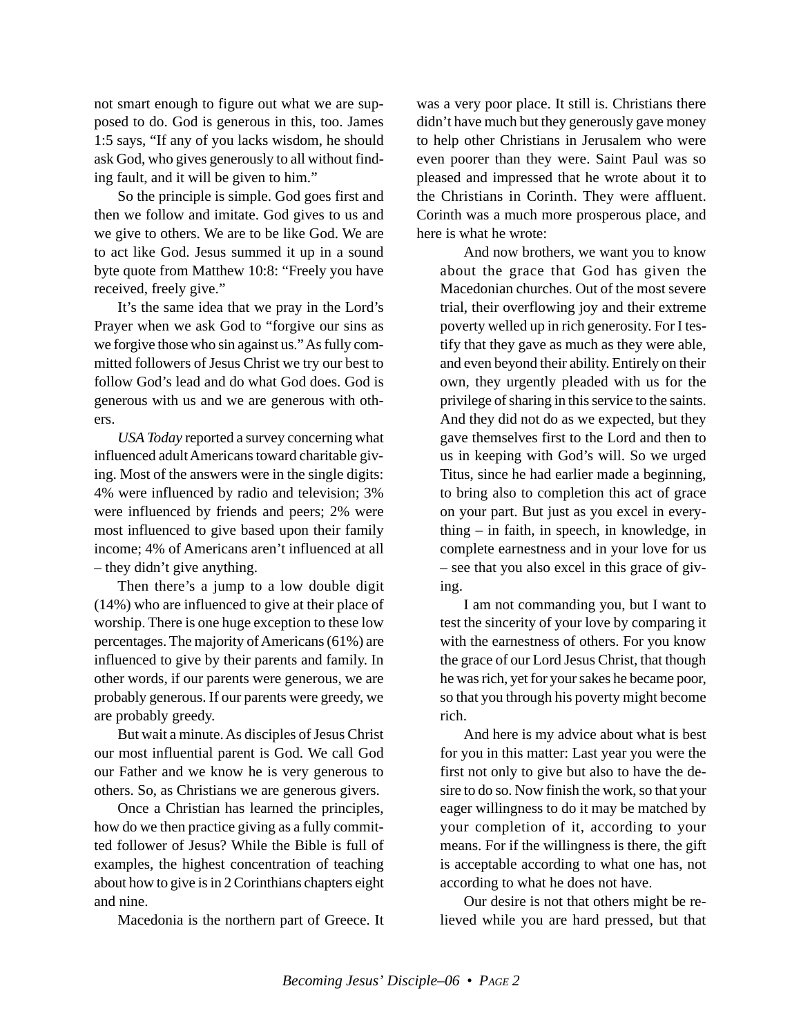not smart enough to figure out what we are supposed to do. God is generous in this, too. James 1:5 says, "If any of you lacks wisdom, he should ask God, who gives generously to all without finding fault, and it will be given to him."

So the principle is simple. God goes first and then we follow and imitate. God gives to us and we give to others. We are to be like God. We are to act like God. Jesus summed it up in a sound byte quote from Matthew 10:8: "Freely you have received, freely give."

It's the same idea that we pray in the Lord's Prayer when we ask God to "forgive our sins as we forgive those who sin against us." As fully committed followers of Jesus Christ we try our best to follow God's lead and do what God does. God is generous with us and we are generous with others.

*USA Today* reported a survey concerning what influenced adult Americans toward charitable giving. Most of the answers were in the single digits: 4% were influenced by radio and television; 3% were influenced by friends and peers; 2% were most influenced to give based upon their family income; 4% of Americans aren't influenced at all – they didn't give anything.

Then there's a jump to a low double digit (14%) who are influenced to give at their place of worship. There is one huge exception to these low percentages. The majority of Americans (61%) are influenced to give by their parents and family. In other words, if our parents were generous, we are probably generous. If our parents were greedy, we are probably greedy.

But wait a minute. As disciples of Jesus Christ our most influential parent is God. We call God our Father and we know he is very generous to others. So, as Christians we are generous givers.

Once a Christian has learned the principles, how do we then practice giving as a fully committed follower of Jesus? While the Bible is full of examples, the highest concentration of teaching about how to give is in 2 Corinthians chapters eight and nine.

Macedonia is the northern part of Greece. It

was a very poor place. It still is. Christians there didn't have much but they generously gave money to help other Christians in Jerusalem who were even poorer than they were. Saint Paul was so pleased and impressed that he wrote about it to the Christians in Corinth. They were affluent. Corinth was a much more prosperous place, and here is what he wrote:

And now brothers, we want you to know about the grace that God has given the Macedonian churches. Out of the most severe trial, their overflowing joy and their extreme poverty welled up in rich generosity. For I testify that they gave as much as they were able, and even beyond their ability. Entirely on their own, they urgently pleaded with us for the privilege of sharing in this service to the saints. And they did not do as we expected, but they gave themselves first to the Lord and then to us in keeping with God's will. So we urged Titus, since he had earlier made a beginning, to bring also to completion this act of grace on your part. But just as you excel in everything – in faith, in speech, in knowledge, in complete earnestness and in your love for us – see that you also excel in this grace of giving.

I am not commanding you, but I want to test the sincerity of your love by comparing it with the earnestness of others. For you know the grace of our Lord Jesus Christ, that though he was rich, yet for your sakes he became poor, so that you through his poverty might become rich.

And here is my advice about what is best for you in this matter: Last year you were the first not only to give but also to have the desire to do so. Now finish the work, so that your eager willingness to do it may be matched by your completion of it, according to your means. For if the willingness is there, the gift is acceptable according to what one has, not according to what he does not have.

Our desire is not that others might be relieved while you are hard pressed, but that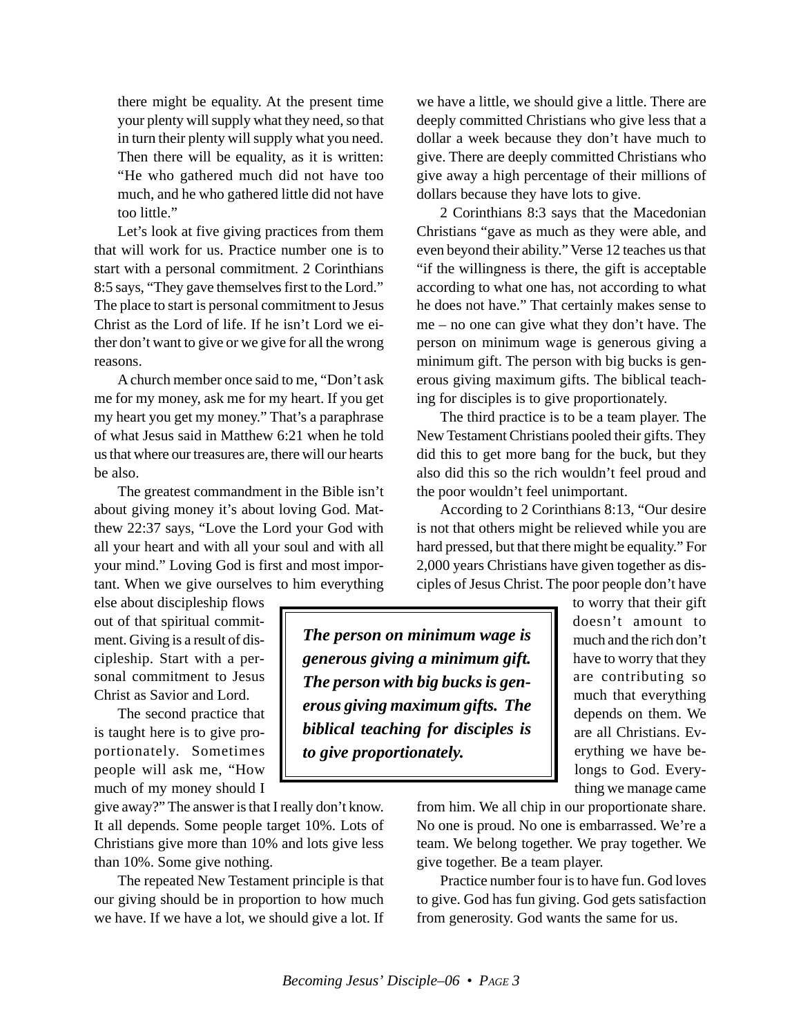there might be equality. At the present time your plenty will supply what they need, so that in turn their plenty will supply what you need. Then there will be equality, as it is written: "He who gathered much did not have too much, and he who gathered little did not have too little."

Let's look at five giving practices from them that will work for us. Practice number one is to start with a personal commitment. 2 Corinthians 8:5 says, "They gave themselves first to the Lord." The place to start is personal commitment to Jesus Christ as the Lord of life. If he isn't Lord we either don't want to give or we give for all the wrong reasons.

A church member once said to me, "Don't ask me for my money, ask me for my heart. If you get my heart you get my money." That's a paraphrase of what Jesus said in Matthew 6:21 when he told us that where our treasures are, there will our hearts be also.

The greatest commandment in the Bible isn't about giving money it's about loving God. Matthew 22:37 says, "Love the Lord your God with all your heart and with all your soul and with all your mind." Loving God is first and most important. When we give ourselves to him everything

else about discipleship flows out of that spiritual commitment. Giving is a result of discipleship. Start with a personal commitment to Jesus Christ as Savior and Lord.

The second practice that is taught here is to give proportionately. Sometimes people will ask me, "How much of my money should I

give away?" The answer is that I really don't know. It all depends. Some people target 10%. Lots of Christians give more than 10% and lots give less than 10%. Some give nothing.

The repeated New Testament principle is that our giving should be in proportion to how much we have. If we have a lot, we should give a lot. If we have a little, we should give a little. There are deeply committed Christians who give less that a dollar a week because they don't have much to give. There are deeply committed Christians who give away a high percentage of their millions of dollars because they have lots to give.

2 Corinthians 8:3 says that the Macedonian Christians "gave as much as they were able, and even beyond their ability." Verse 12 teaches us that "if the willingness is there, the gift is acceptable according to what one has, not according to what he does not have." That certainly makes sense to me – no one can give what they don't have. The person on minimum wage is generous giving a minimum gift. The person with big bucks is generous giving maximum gifts. The biblical teaching for disciples is to give proportionately.

The third practice is to be a team player. The New Testament Christians pooled their gifts. They did this to get more bang for the buck, but they also did this so the rich wouldn't feel proud and the poor wouldn't feel unimportant.

According to 2 Corinthians 8:13, "Our desire is not that others might be relieved while you are hard pressed, but that there might be equality." For 2,000 years Christians have given together as disciples of Jesus Christ. The poor people don't have

*The person on minimum wage is generous giving a minimum gift. The person with big bucks is generous giving maximum gifts. The biblical teaching for disciples is to give proportionately.*

to worry that their gift doesn't amount to much and the rich don't have to worry that they are contributing so much that everything depends on them. We are all Christians. Everything we have belongs to God. Everything we manage came

from him. We all chip in our proportionate share. No one is proud. No one is embarrassed. We're a team. We belong together. We pray together. We give together. Be a team player.

Practice number four is to have fun. God loves to give. God has fun giving. God gets satisfaction from generosity. God wants the same for us.